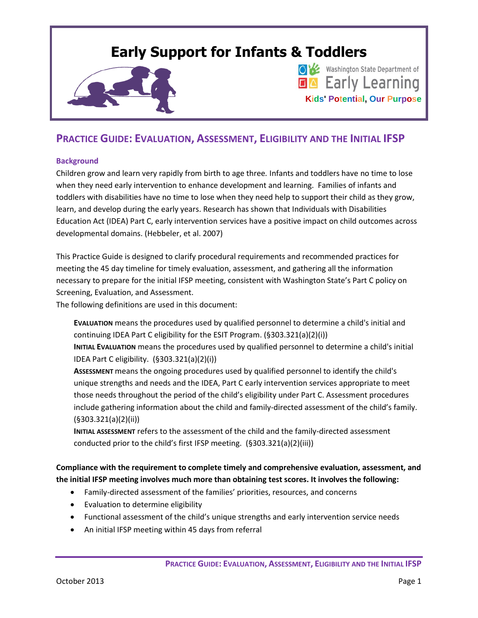# **Early Support for Infants & Toddlers**





## **PRACTICE GUIDE: EVALUATION, ASSESSMENT, ELIGIBILITY AND THE INITIAL IFSP**

## **Background**

Children grow and learn very rapidly from birth to age three*.* Infants and toddlers have no time to lose when they need early intervention to enhance development and learning. Families of infants and toddlers with disabilities have no time to lose when they need help to support their child as they grow, learn, and develop during the early years. Research has shown that Individuals with Disabilities Education Act (IDEA) Part C, early intervention services have a positive impact on child outcomes across developmental domains. (Hebbeler, et al. 2007)

This Practice Guide is designed to clarify procedural requirements and recommended practices for meeting the 45 day timeline for timely evaluation, assessment, and gathering all the information necessary to prepare for the initial IFSP meeting, consistent with Washington State's Part C policy on Screening, Evaluation, and Assessment.

The following definitions are used in this document:

**EVALUATION** means the procedures used by qualified personnel to determine a child's initial and continuing IDEA Part C eligibility for the ESIT Program. (§303.321(a)(2)(i))

**INITIAL EVALUATION** means the procedures used by qualified personnel to determine a child's initial IDEA Part C eligibility. (§303.321(a)(2)(i))

**ASSESSMENT** means the ongoing procedures used by qualified personnel to identify the child's unique strengths and needs and the IDEA, Part C early intervention services appropriate to meet those needs throughout the period of the child's eligibility under Part C. Assessment procedures include gathering information about the child and family-directed assessment of the child's family. (§303.321(a)(2)(ii))

**INITIAL ASSESSMENT** refers to the assessment of the child and the family-directed assessment conducted prior to the child's first IFSP meeting. (§303.321(a)(2)(iii))

**Compliance with the requirement to complete timely and comprehensive evaluation, assessment, and the initial IFSP meeting involves much more than obtaining test scores. It involves the following:**

- Family-directed assessment of the families' priorities, resources, and concerns
- Evaluation to determine eligibility
- Functional assessment of the child's unique strengths and early intervention service needs
- An initial IFSP meeting within 45 days from referral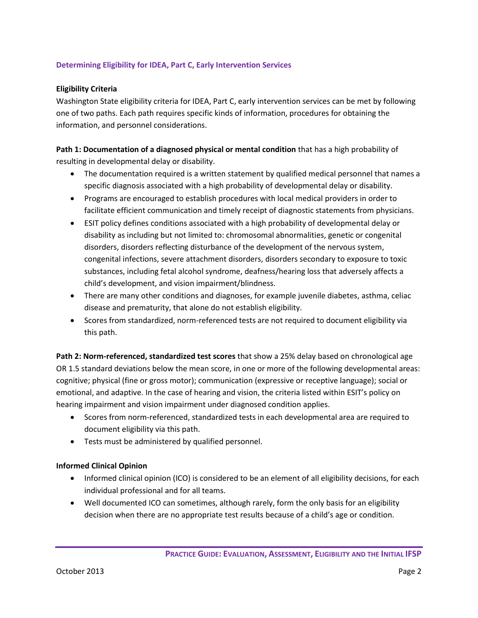## **Determining Eligibility for IDEA, Part C, Early Intervention Services**

## **Eligibility Criteria**

Washington State eligibility criteria for IDEA, Part C, early intervention services can be met by following one of two paths. Each path requires specific kinds of information, procedures for obtaining the information, and personnel considerations.

**Path 1: Documentation of a diagnosed physical or mental condition** that has a high probability of resulting in developmental delay or disability.

- The documentation required is a written statement by qualified medical personnel that names a specific diagnosis associated with a high probability of developmental delay or disability.
- Programs are encouraged to establish procedures with local medical providers in order to facilitate efficient communication and timely receipt of diagnostic statements from physicians.
- ESIT policy defines conditions associated with a high probability of developmental delay or disability as including but not limited to: chromosomal abnormalities, genetic or congenital disorders, disorders reflecting disturbance of the development of the nervous system, congenital infections, severe attachment disorders, disorders secondary to exposure to toxic substances, including fetal alcohol syndrome, deafness/hearing loss that adversely affects a child's development, and vision impairment/blindness.
- There are many other conditions and diagnoses, for example juvenile diabetes, asthma, celiac disease and prematurity, that alone do not establish eligibility.
- Scores from standardized, norm-referenced tests are not required to document eligibility via this path.

**Path 2: Norm-referenced, standardized test scores** that show a 25% delay based on chronological age OR 1.5 standard deviations below the mean score, in one or more of the following developmental areas: cognitive; physical (fine or gross motor); communication (expressive or receptive language); social or emotional, and adaptive. In the case of hearing and vision, the criteria listed within ESIT's policy on hearing impairment and vision impairment under diagnosed condition applies.

- Scores from norm-referenced, standardized tests in each developmental area are required to document eligibility via this path.
- Tests must be administered by qualified personnel.

## **Informed Clinical Opinion**

- Informed clinical opinion (ICO) is considered to be an element of all eligibility decisions, for each individual professional and for all teams.
- Well documented ICO can sometimes, although rarely, form the only basis for an eligibility decision when there are no appropriate test results because of a child's age or condition.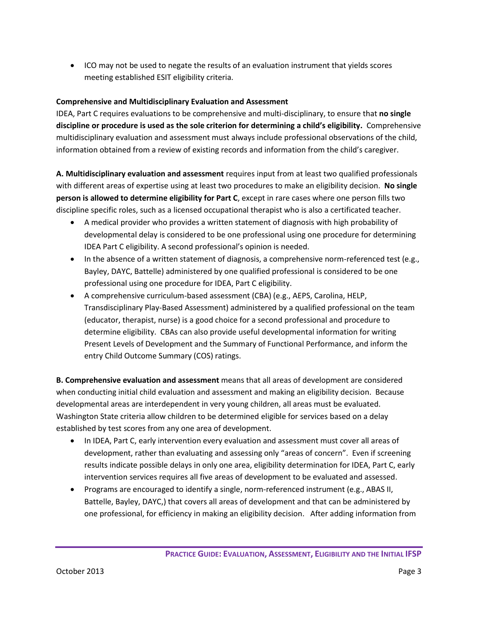• ICO may not be used to negate the results of an evaluation instrument that yields scores meeting established ESIT eligibility criteria.

## **Comprehensive and Multidisciplinary Evaluation and Assessment**

IDEA, Part C requires evaluations to be comprehensive and multi-disciplinary, to ensure that **no single discipline or procedure is used as the sole criterion for determining a child's eligibility.** Comprehensive multidisciplinary evaluation and assessment must always include professional observations of the child, information obtained from a review of existing records and information from the child's caregiver.

**A. Multidisciplinary evaluation and assessment** requires input from at least two qualified professionals with different areas of expertise using at least two procedures to make an eligibility decision. **No single person is allowed to determine eligibility for Part C**, except in rare cases where one person fills two discipline specific roles, such as a licensed occupational therapist who is also a certificated teacher.

- A medical provider who provides a written statement of diagnosis with high probability of developmental delay is considered to be one professional using one procedure for determining IDEA Part C eligibility. A second professional's opinion is needed.
- In the absence of a written statement of diagnosis, a comprehensive norm-referenced test (e.g., Bayley, DAYC, Battelle) administered by one qualified professional is considered to be one professional using one procedure for IDEA, Part C eligibility.
- A comprehensive curriculum-based assessment (CBA) (e.g., AEPS, Carolina, HELP, Transdisciplinary Play-Based Assessment) administered by a qualified professional on the team (educator, therapist, nurse) is a good choice for a second professional and procedure to determine eligibility. CBAs can also provide useful developmental information for writing Present Levels of Development and the Summary of Functional Performance, and inform the entry Child Outcome Summary (COS) ratings.

**B. Comprehensive evaluation and assessment** means that all areas of development are considered when conducting initial child evaluation and assessment and making an eligibility decision. Because developmental areas are interdependent in very young children, all areas must be evaluated. Washington State criteria allow children to be determined eligible for services based on a delay established by test scores from any one area of development.

- In IDEA, Part C, early intervention every evaluation and assessment must cover all areas of development, rather than evaluating and assessing only "areas of concern". Even if screening results indicate possible delays in only one area, eligibility determination for IDEA, Part C, early intervention services requires all five areas of development to be evaluated and assessed.
- Programs are encouraged to identify a single, norm-referenced instrument (e.g., ABAS II, Battelle, Bayley, DAYC,) that covers all areas of development and that can be administered by one professional, for efficiency in making an eligibility decision. After adding information from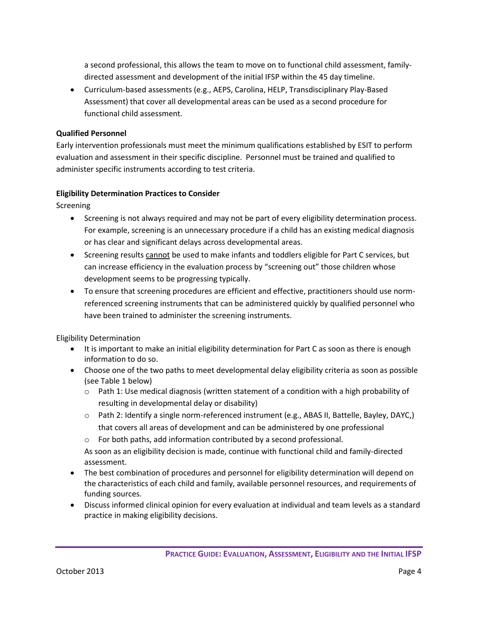a second professional, this allows the team to move on to functional child assessment, familydirected assessment and development of the initial IFSP within the 45 day timeline.

 Curriculum-based assessments (e.g., AEPS, Carolina, HELP, Transdisciplinary Play-Based Assessment) that cover all developmental areas can be used as a second procedure for functional child assessment.

## **Qualified Personnel**

Early intervention professionals must meet the minimum qualifications established by ESIT to perform evaluation and assessment in their specific discipline. Personnel must be trained and qualified to administer specific instruments according to test criteria.

## **Eligibility Determination Practices to Consider**

Screening

- Screening is not always required and may not be part of every eligibility determination process. For example, screening is an unnecessary procedure if a child has an existing medical diagnosis or has clear and significant delays across developmental areas.
- Screening results cannot be used to make infants and toddlers eligible for Part C services, but can increase efficiency in the evaluation process by "screening out" those children whose development seems to be progressing typically.
- To ensure that screening procedures are efficient and effective, practitioners should use normreferenced screening instruments that can be administered quickly by qualified personnel who have been trained to administer the screening instruments.

Eligibility Determination

- It is important to make an initial eligibility determination for Part C as soon as there is enough information to do so.
- Choose one of the two paths to meet developmental delay eligibility criteria as soon as possible (see Table 1 below)
	- $\circ$  Path 1: Use medical diagnosis (written statement of a condition with a high probability of resulting in developmental delay or disability)
	- o Path 2: Identify a single norm-referenced instrument (e.g., ABAS II, Battelle, Bayley, DAYC,) that covers all areas of development and can be administered by one professional
	- o For both paths, add information contributed by a second professional.

As soon as an eligibility decision is made, continue with functional child and family-directed assessment.

- The best combination of procedures and personnel for eligibility determination will depend on the characteristics of each child and family, available personnel resources, and requirements of funding sources.
- Discuss informed clinical opinion for every evaluation at individual and team levels as a standard practice in making eligibility decisions.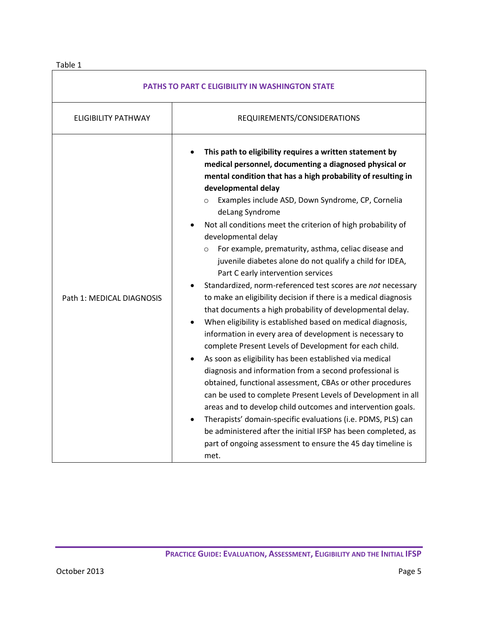## Table 1

| <b>PATHS TO PART C ELIGIBILITY IN WASHINGTON STATE</b> |                                                                                                                                                                                                                                                                                                                                                                                                                                                                                                                                                                                                                                                                                                                                                                                                                                                                                                                                                                                                                                                                                                                                                                                                                                                                                                                                                                                                                                                                        |
|--------------------------------------------------------|------------------------------------------------------------------------------------------------------------------------------------------------------------------------------------------------------------------------------------------------------------------------------------------------------------------------------------------------------------------------------------------------------------------------------------------------------------------------------------------------------------------------------------------------------------------------------------------------------------------------------------------------------------------------------------------------------------------------------------------------------------------------------------------------------------------------------------------------------------------------------------------------------------------------------------------------------------------------------------------------------------------------------------------------------------------------------------------------------------------------------------------------------------------------------------------------------------------------------------------------------------------------------------------------------------------------------------------------------------------------------------------------------------------------------------------------------------------------|
| <b>ELIGIBILITY PATHWAY</b>                             | REQUIREMENTS/CONSIDERATIONS                                                                                                                                                                                                                                                                                                                                                                                                                                                                                                                                                                                                                                                                                                                                                                                                                                                                                                                                                                                                                                                                                                                                                                                                                                                                                                                                                                                                                                            |
| Path 1: MEDICAL DIAGNOSIS                              | This path to eligibility requires a written statement by<br>medical personnel, documenting a diagnosed physical or<br>mental condition that has a high probability of resulting in<br>developmental delay<br>Examples include ASD, Down Syndrome, CP, Cornelia<br>$\circ$<br>deLang Syndrome<br>Not all conditions meet the criterion of high probability of<br>developmental delay<br>For example, prematurity, asthma, celiac disease and<br>$\circ$<br>juvenile diabetes alone do not qualify a child for IDEA,<br>Part C early intervention services<br>Standardized, norm-referenced test scores are not necessary<br>to make an eligibility decision if there is a medical diagnosis<br>that documents a high probability of developmental delay.<br>When eligibility is established based on medical diagnosis,<br>information in every area of development is necessary to<br>complete Present Levels of Development for each child.<br>As soon as eligibility has been established via medical<br>diagnosis and information from a second professional is<br>obtained, functional assessment, CBAs or other procedures<br>can be used to complete Present Levels of Development in all<br>areas and to develop child outcomes and intervention goals.<br>Therapists' domain-specific evaluations (i.e. PDMS, PLS) can<br>be administered after the initial IFSP has been completed, as<br>part of ongoing assessment to ensure the 45 day timeline is<br>met. |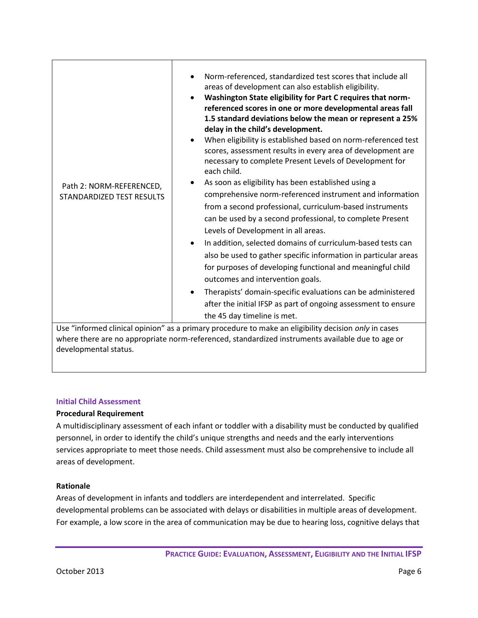| Path 2: NORM-REFERENCED,<br><b>STANDARDIZED TEST RESULTS</b> | Norm-referenced, standardized test scores that include all<br>areas of development can also establish eligibility.<br>Washington State eligibility for Part C requires that norm-<br>$\bullet$<br>referenced scores in one or more developmental areas fall<br>1.5 standard deviations below the mean or represent a 25%<br>delay in the child's development.<br>When eligibility is established based on norm-referenced test<br>scores, assessment results in every area of development are<br>necessary to complete Present Levels of Development for<br>each child.<br>As soon as eligibility has been established using a<br>comprehensive norm-referenced instrument and information<br>from a second professional, curriculum-based instruments<br>can be used by a second professional, to complete Present<br>Levels of Development in all areas.<br>In addition, selected domains of curriculum-based tests can<br>$\bullet$<br>also be used to gather specific information in particular areas<br>for purposes of developing functional and meaningful child<br>outcomes and intervention goals.<br>Therapists' domain-specific evaluations can be administered<br>٠<br>after the initial IFSP as part of ongoing assessment to ensure<br>the 45 day timeline is met. |
|--------------------------------------------------------------|----------------------------------------------------------------------------------------------------------------------------------------------------------------------------------------------------------------------------------------------------------------------------------------------------------------------------------------------------------------------------------------------------------------------------------------------------------------------------------------------------------------------------------------------------------------------------------------------------------------------------------------------------------------------------------------------------------------------------------------------------------------------------------------------------------------------------------------------------------------------------------------------------------------------------------------------------------------------------------------------------------------------------------------------------------------------------------------------------------------------------------------------------------------------------------------------------------------------------------------------------------------------------------|
|                                                              | Use "informed clinical opinion" as a primary procedure to make an eligibility decision only in cases<br>where there are no appropriate norm-referenced, standardized instruments available due to age or                                                                                                                                                                                                                                                                                                                                                                                                                                                                                                                                                                                                                                                                                                                                                                                                                                                                                                                                                                                                                                                                         |

## **Initial Child Assessment**

developmental status.

## **Procedural Requirement**

A multidisciplinary assessment of each infant or toddler with a disability must be conducted by qualified personnel, in order to identify the child's unique strengths and needs and the early interventions services appropriate to meet those needs. Child assessment must also be comprehensive to include all areas of development.

## **Rationale**

Areas of development in infants and toddlers are interdependent and interrelated. Specific developmental problems can be associated with delays or disabilities in multiple areas of development. For example, a low score in the area of communication may be due to hearing loss, cognitive delays that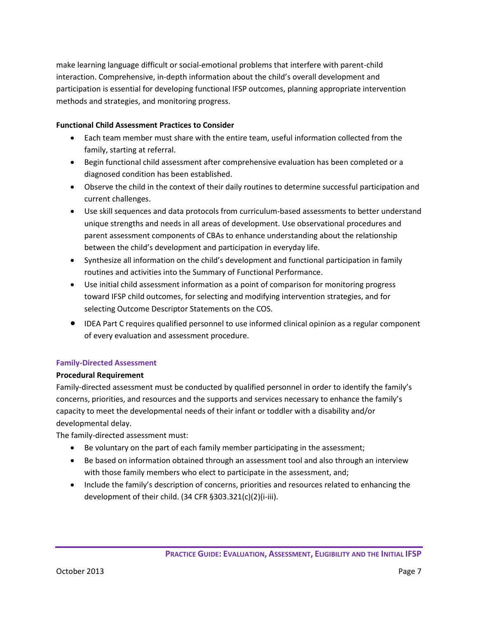make learning language difficult or social-emotional problems that interfere with parent-child interaction. Comprehensive, in-depth information about the child's overall development and participation is essential for developing functional IFSP outcomes, planning appropriate intervention methods and strategies, and monitoring progress.

## **Functional Child Assessment Practices to Consider**

- Each team member must share with the entire team, useful information collected from the family, starting at referral.
- Begin functional child assessment after comprehensive evaluation has been completed or a diagnosed condition has been established.
- Observe the child in the context of their daily routines to determine successful participation and current challenges.
- Use skill sequences and data protocols from curriculum-based assessments to better understand unique strengths and needs in all areas of development. Use observational procedures and parent assessment components of CBAs to enhance understanding about the relationship between the child's development and participation in everyday life.
- Synthesize all information on the child's development and functional participation in family routines and activities into the Summary of Functional Performance.
- Use initial child assessment information as a point of comparison for monitoring progress toward IFSP child outcomes, for selecting and modifying intervention strategies, and for selecting Outcome Descriptor Statements on the COS.
- IDEA Part C requires qualified personnel to use informed clinical opinion as a regular component of every evaluation and assessment procedure.

## **Family-Directed Assessment**

## **Procedural Requirement**

Family-directed assessment must be conducted by qualified personnel in order to identify the family's concerns, priorities, and resources and the supports and services necessary to enhance the family's capacity to meet the developmental needs of their infant or toddler with a disability and/or developmental delay.

The family-directed assessment must:

- Be voluntary on the part of each family member participating in the assessment;
- Be based on information obtained through an assessment tool and also through an interview with those family members who elect to participate in the assessment, and;
- Include the family's description of concerns, priorities and resources related to enhancing the development of their child. (34 CFR §303.321(c)(2)(i-iii).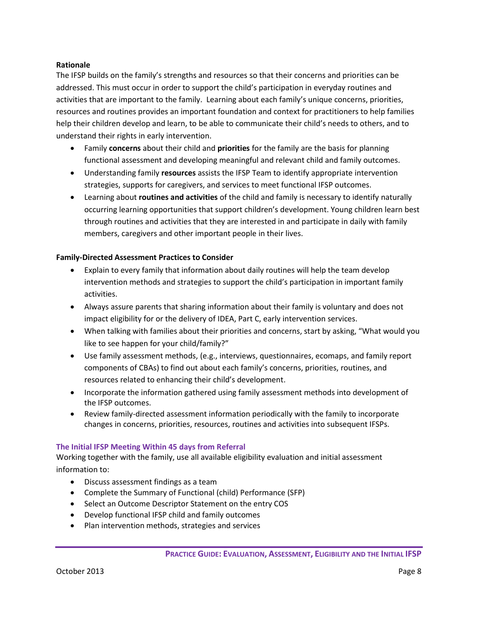#### **Rationale**

The IFSP builds on the family's strengths and resources so that their concerns and priorities can be addressed. This must occur in order to support the child's participation in everyday routines and activities that are important to the family. Learning about each family's unique concerns, priorities, resources and routines provides an important foundation and context for practitioners to help families help their children develop and learn, to be able to communicate their child's needs to others, and to understand their rights in early intervention.

- Family **concerns** about their child and **priorities** for the family are the basis for planning functional assessment and developing meaningful and relevant child and family outcomes.
- Understanding family **resources** assists the IFSP Team to identify appropriate intervention strategies, supports for caregivers, and services to meet functional IFSP outcomes.
- Learning about **routines and activities** of the child and family is necessary to identify naturally occurring learning opportunities that support children's development. Young children learn best through routines and activities that they are interested in and participate in daily with family members, caregivers and other important people in their lives.

## **Family-Directed Assessment Practices to Consider**

- Explain to every family that information about daily routines will help the team develop intervention methods and strategies to support the child's participation in important family activities.
- Always assure parents that sharing information about their family is voluntary and does not impact eligibility for or the delivery of IDEA, Part C, early intervention services.
- When talking with families about their priorities and concerns, start by asking, "What would you like to see happen for your child/family?"
- Use family assessment methods, (e.g., interviews, questionnaires, ecomaps, and family report components of CBAs) to find out about each family's concerns, priorities, routines, and resources related to enhancing their child's development.
- Incorporate the information gathered using family assessment methods into development of the IFSP outcomes.
- Review family-directed assessment information periodically with the family to incorporate changes in concerns, priorities, resources, routines and activities into subsequent IFSPs.

## **The Initial IFSP Meeting Within 45 days from Referral**

Working together with the family, use all available eligibility evaluation and initial assessment information to:

- Discuss assessment findings as a team
- Complete the Summary of Functional (child) Performance (SFP)
- Select an Outcome Descriptor Statement on the entry COS
- Develop functional IFSP child and family outcomes
- Plan intervention methods, strategies and services